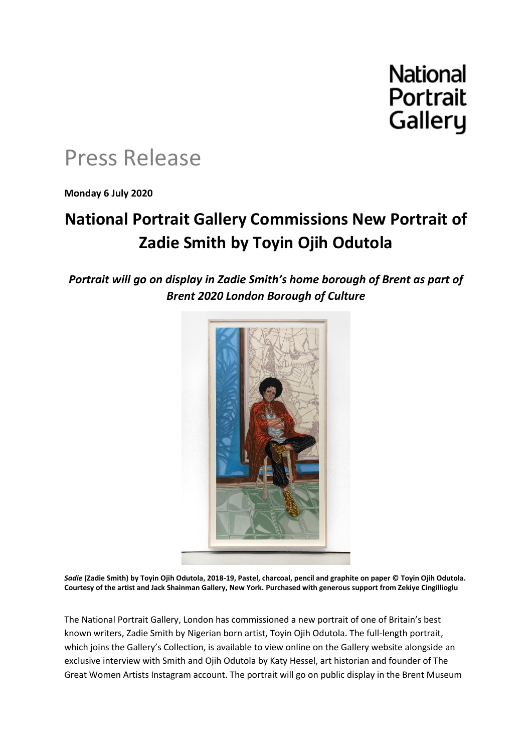# **National** Portrait Gallery

# Press Release

**Monday 6 July 2020**

## **National Portrait Gallery Commissions New Portrait of Zadie Smith by Toyin Ojih Odutola**

*Portrait will go on display in Zadie Smith's home borough of Brent as part of Brent 2020 London Borough of Culture*



*Sadie* **(Zadie Smith) by Toyin Ojih Odutola, 2018-19, Pastel, charcoal, pencil and graphite on paper © Toyin Ojih Odutola. Courtesy of the artist and Jack Shainman Gallery, New York. Purchased with generous support from Zekiye Cingillioglu**

The National Portrait Gallery, London has commissioned a new portrait of one of Britain's best known writers, Zadie Smith by Nigerian born artist, Toyin Ojih Odutola. The full-length portrait, which joins the Gallery's Collection, is available to view online on the Gallery website alongside an exclusive interview with Smith and Ojih Odutola by Katy Hessel, art historian and founder of The Great Women Artists Instagram account. The portrait will go on public display in the Brent Museum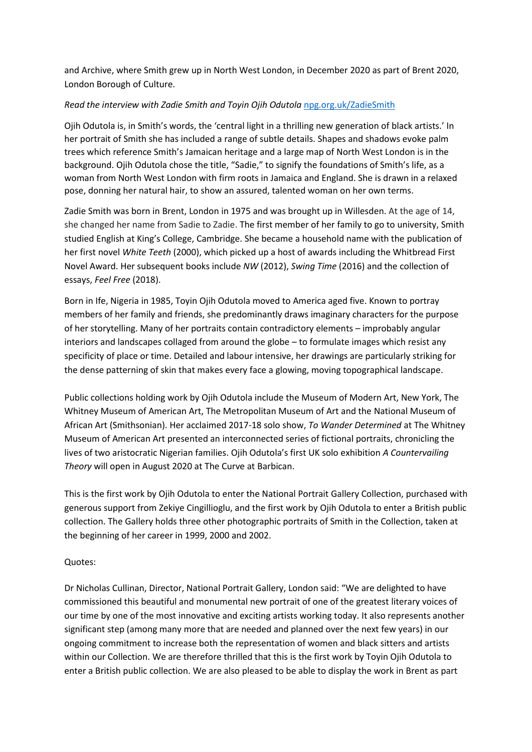and Archive, where Smith grew up in North West London, in December 2020 as part of Brent 2020, London Borough of Culture.

### *Read the interview with Zadie Smith and Toyin Ojih Odutola* [npg.org.uk/ZadieSmith](http://www.npg.org.uk/ZadieSmith)

Ojih Odutola is, in Smith's words, the 'central light in a thrilling new generation of black artists.' In her portrait of Smith she has included a range of subtle details. Shapes and shadows evoke palm trees which reference Smith's Jamaican heritage and a large map of North West London is in the background. Ojih Odutola chose the title, "Sadie," to signify the foundations of Smith's life, as a woman from North West London with firm roots in Jamaica and England. She is drawn in a relaxed pose, donning her natural hair, to show an assured, talented woman on her own terms.

Zadie Smith was born in Brent, London in 1975 and was brought up in Willesden. At the age of 14, she changed her name from Sadie to Zadie. The first member of her family to go to university, Smith studied English at King's College, Cambridge. She became a household name with the publication of her first novel *White Teeth* (2000), which picked up a host of awards including the Whitbread First Novel Award. Her subsequent books include *NW* (2012), *Swing Time* (2016) and the collection of essays, *Feel Free* (2018).

Born in Ife, Nigeria in 1985, Toyin Ojih Odutola moved to America aged five. Known to portray members of her family and friends, she predominantly draws imaginary characters for the purpose of her storytelling. Many of her portraits contain contradictory elements – improbably angular interiors and landscapes collaged from around the globe – to formulate images which resist any specificity of place or time. Detailed and labour intensive, her drawings are particularly striking for the dense patterning of skin that makes every face a glowing, moving topographical landscape.

Public collections holding work by Ojih Odutola include the Museum of Modern Art, New York, The Whitney Museum of American Art, The Metropolitan Museum of Art and the National Museum of African Art (Smithsonian). Her acclaimed 2017-18 solo show, *To Wander Determined* at The Whitney Museum of American Art presented an interconnected series of fictional portraits, chronicling the lives of two aristocratic Nigerian families. Ojih Odutola's first UK solo exhibition *A Countervailing Theory* will open in August 2020 at The Curve at Barbican.

This is the first work by Ojih Odutola to enter the National Portrait Gallery Collection, purchased with generous support from Zekiye Cingillioglu, and the first work by Ojih Odutola to enter a British public collection. The Gallery holds three other photographic portraits of Smith in the Collection, taken at the beginning of her career in 1999, 2000 and 2002.

### Quotes:

Dr Nicholas Cullinan, Director, National Portrait Gallery, London said: "We are delighted to have commissioned this beautiful and monumental new portrait of one of the greatest literary voices of our time by one of the most innovative and exciting artists working today. It also represents another significant step (among many more that are needed and planned over the next few years) in our ongoing commitment to increase both the representation of women and black sitters and artists within our Collection. We are therefore thrilled that this is the first work by Toyin Ojih Odutola to enter a British public collection. We are also pleased to be able to display the work in Brent as part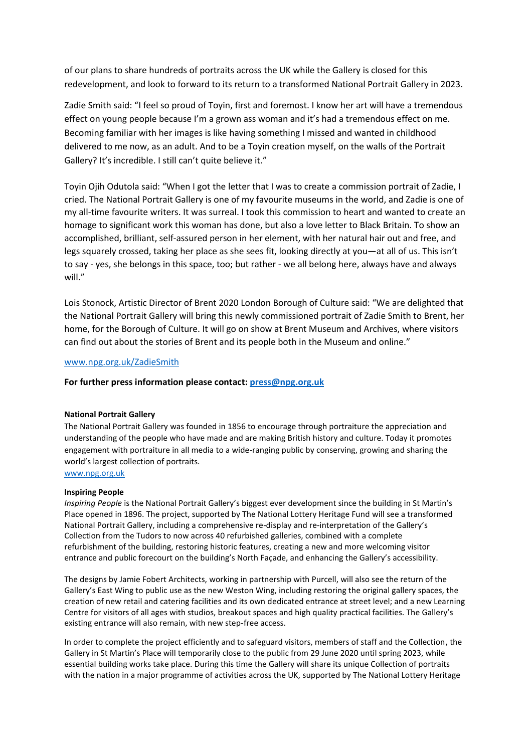of our plans to share hundreds of portraits across the UK while the Gallery is closed for this redevelopment, and look to forward to its return to a transformed National Portrait Gallery in 2023.

Zadie Smith said: "I feel so proud of Toyin, first and foremost. I know her art will have a tremendous effect on young people because I'm a grown ass woman and it's had a tremendous effect on me. Becoming familiar with her images is like having something I missed and wanted in childhood delivered to me now, as an adult. And to be a Toyin creation myself, on the walls of the Portrait Gallery? It's incredible. I still can't quite believe it."

Toyin Ojih Odutola said: "When I got the letter that I was to create a commission portrait of Zadie, I cried. The National Portrait Gallery is one of my favourite museums in the world, and Zadie is one of my all-time favourite writers. It was surreal. I took this commission to heart and wanted to create an homage to significant work this woman has done, but also a love letter to Black Britain. To show an accomplished, brilliant, self-assured person in her element, with her natural hair out and free, and legs squarely crossed, taking her place as she sees fit, looking directly at you—at all of us. This isn't to say - yes, she belongs in this space, too; but rather - we all belong here, always have and always will."

Lois Stonock, Artistic Director of Brent 2020 London Borough of Culture said: "We are delighted that the National Portrait Gallery will bring this newly commissioned portrait of Zadie Smith to Brent, her home, for the Borough of Culture. It will go on show at Brent Museum and Archives, where visitors can find out about the stories of Brent and its people both in the Museum and online."

#### [www.npg.org.uk/ZadieSmith](http://www.npg.org.uk/ZadieSmith)

#### **For further press information please contact[: press@npg.org.uk](mailto:press@npg.org.uk)**

#### **National Portrait Gallery**

The National Portrait Gallery was founded in 1856 to encourage through portraiture the appreciation and understanding of the people who have made and are making British history and culture. Today it promotes engagement with portraiture in all media to a wide-ranging public by conserving, growing and sharing the world's largest collection of portraits.

[www.npg.org.uk](http://www.npg.org.uk/)

#### **Inspiring People**

*Inspiring People* is the National Portrait Gallery's biggest ever development since the building in St Martin's Place opened in 1896. The project, supported by The National Lottery Heritage Fund will see a transformed National Portrait Gallery, including a comprehensive re-display and re-interpretation of the Gallery's Collection from the Tudors to now across 40 refurbished galleries, combined with a complete refurbishment of the building, restoring historic features, creating a new and more welcoming visitor entrance and public forecourt on the building's North Façade, and enhancing the Gallery's accessibility.

The designs by Jamie Fobert Architects, working in partnership with Purcell, will also see the return of the Gallery's East Wing to public use as the new Weston Wing, including restoring the original gallery spaces, the creation of new retail and catering facilities and its own dedicated entrance at street level; and a new Learning Centre for visitors of all ages with studios, breakout spaces and high quality practical facilities. The Gallery's existing entrance will also remain, with new step-free access.

In order to complete the project efficiently and to safeguard visitors, members of staff and the Collection, the Gallery in St Martin's Place will temporarily close to the public from 29 June 2020 until spring 2023, while essential building works take place. During this time the Gallery will share its unique Collection of portraits with the nation in a major programme of activities across the UK, supported by The National Lottery Heritage